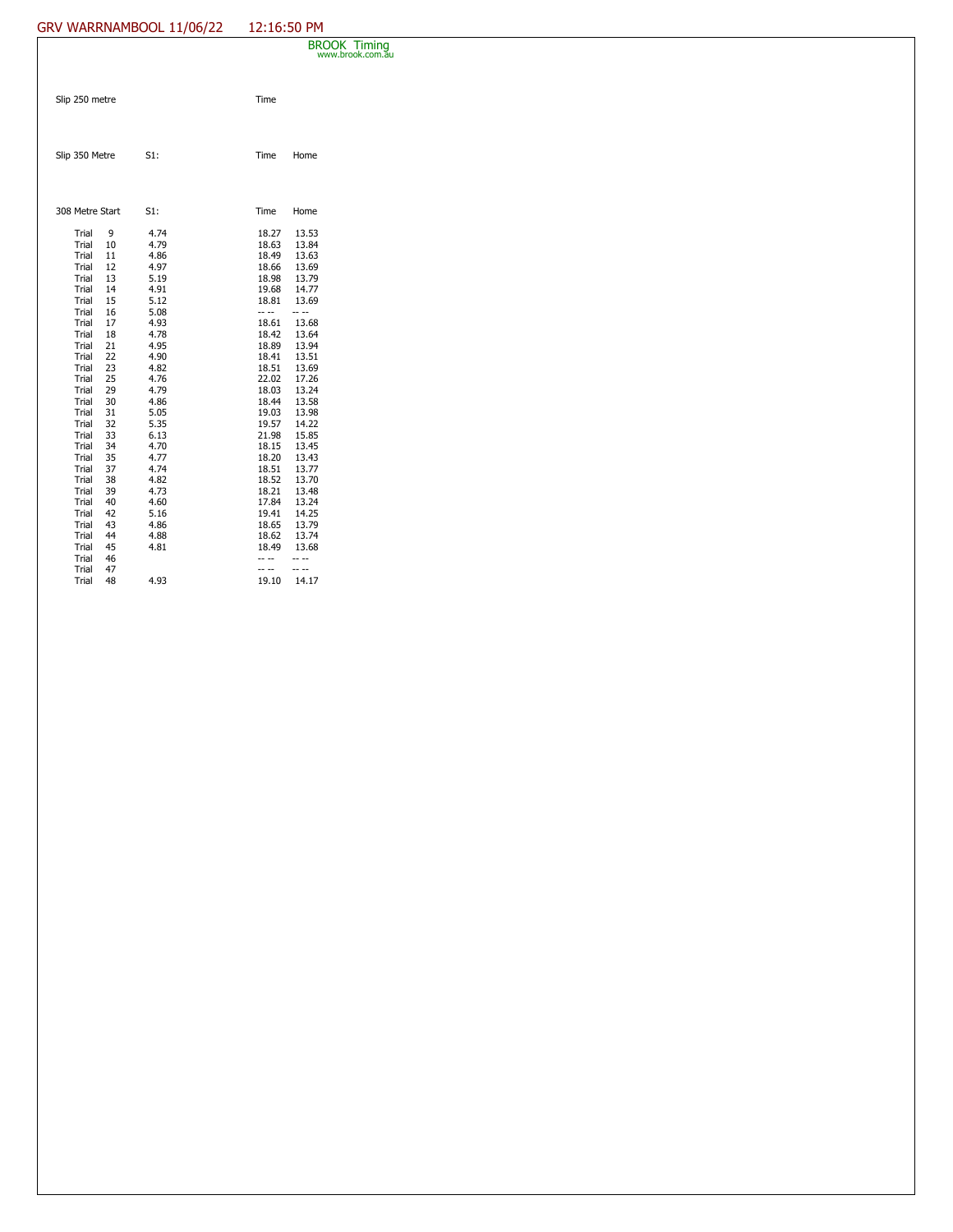## GRV WARRNAMBOOL 11/06/22 12:16:50 PM

|                                                                                                                                                                                                                               |                                                                                                                                                   |                                                                                                                                                                                                      |                                                                                                                                                                                                                               | <b>BROOK Timing</b><br>www.brook.com.au                                                                                                                                                                                       |
|-------------------------------------------------------------------------------------------------------------------------------------------------------------------------------------------------------------------------------|---------------------------------------------------------------------------------------------------------------------------------------------------|------------------------------------------------------------------------------------------------------------------------------------------------------------------------------------------------------|-------------------------------------------------------------------------------------------------------------------------------------------------------------------------------------------------------------------------------|-------------------------------------------------------------------------------------------------------------------------------------------------------------------------------------------------------------------------------|
| Slip 250 metre                                                                                                                                                                                                                |                                                                                                                                                   |                                                                                                                                                                                                      | Time                                                                                                                                                                                                                          |                                                                                                                                                                                                                               |
| Slip 350 Metre                                                                                                                                                                                                                |                                                                                                                                                   | S1:                                                                                                                                                                                                  | Time                                                                                                                                                                                                                          | Home                                                                                                                                                                                                                          |
| 308 Metre Start                                                                                                                                                                                                               |                                                                                                                                                   | S1:                                                                                                                                                                                                  | Time                                                                                                                                                                                                                          | Home                                                                                                                                                                                                                          |
| Trial<br>Trial<br>Trial<br>Trial<br>Trial<br>Trial<br>Trial<br>Trial<br>Trial<br>Trial<br>Trial<br>Trial<br>Trial<br>Trial<br>Trial<br>Trial<br>Trial<br>Trial<br>Trial<br>Trial<br>Trial<br>Trial<br>Trial<br>Trial<br>Trial | 9<br>10<br>11<br>12<br>13<br>14<br>15<br>16<br>17<br>18<br>21<br>22<br>23<br>25<br>29<br>30<br>31<br>32<br>33<br>34<br>35<br>37<br>38<br>39<br>40 | 4.74<br>4.79<br>4.86<br>4.97<br>5.19<br>4.91<br>5.12<br>5.08<br>4.93<br>4.78<br>4.95<br>4.90<br>4.82<br>4.76<br>4.79<br>4.86<br>5.05<br>5.35<br>6.13<br>4.70<br>4.77<br>4.74<br>4.82<br>4.73<br>4.60 | 18.27<br>18.63<br>18.49<br>18.66<br>18.98<br>19.68<br>18.81<br>-- --<br>18.61<br>18.42<br>18.89<br>18.41<br>18.51<br>22.02<br>18.03<br>18.44<br>19.03<br>19.57<br>21.98<br>18.15<br>18.20<br>18.51<br>18.52<br>18.21<br>17.84 | 13.53<br>13.84<br>13.63<br>13.69<br>13.79<br>14.77<br>13.69<br>-- --<br>13.68<br>13.64<br>13.94<br>13.51<br>13.69<br>17.26<br>13.24<br>13.58<br>13.98<br>14.22<br>15.85<br>13.45<br>13.43<br>13.77<br>13.70<br>13.48<br>13.24 |
| Trial<br>Trial<br>Trial<br>Trial<br>Trial<br>Trial                                                                                                                                                                            | 42<br>43<br>44<br>45<br>46<br>47                                                                                                                  | 5.16<br>4.86<br>4.88<br>4.81                                                                                                                                                                         | 19.41<br>18.65<br>18.62<br>18.49<br>-- --<br>-- --                                                                                                                                                                            | 14.25<br>13.79<br>13.74<br>13.68<br>-- --<br>-- --                                                                                                                                                                            |
| Trial                                                                                                                                                                                                                         | 48                                                                                                                                                | 4.93                                                                                                                                                                                                 | 19.10                                                                                                                                                                                                                         | 14.17                                                                                                                                                                                                                         |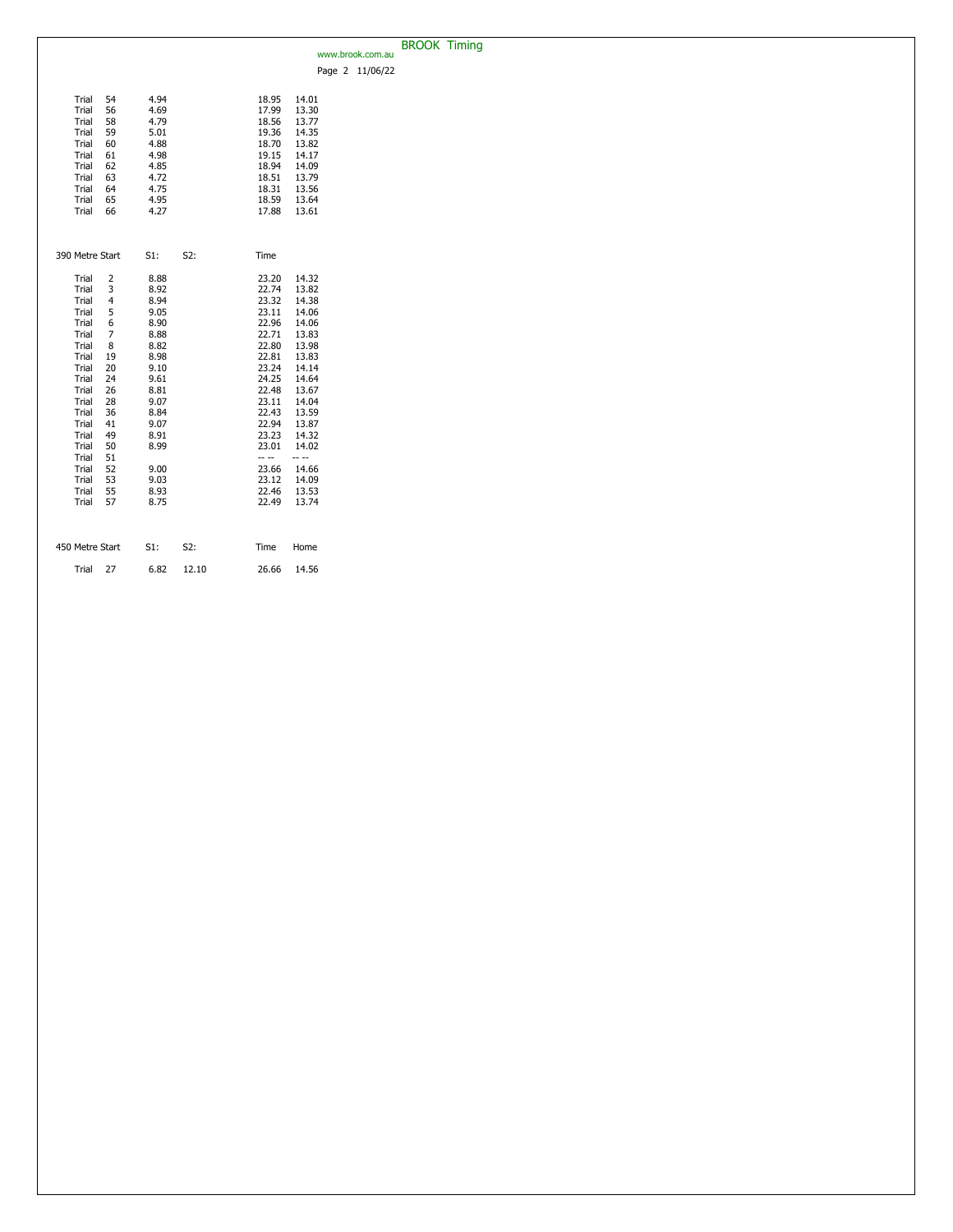|                                   |        |       |       |       |                  | <b>BROOK Timing</b> |  |
|-----------------------------------|--------|-------|-------|-------|------------------|---------------------|--|
|                                   |        |       |       |       | www.brook.com.au |                     |  |
|                                   |        |       |       |       | Page 2 11/06/22  |                     |  |
|                                   |        |       |       |       |                  |                     |  |
|                                   |        |       |       |       |                  |                     |  |
| Trial<br>54                       | 4.94   |       | 18.95 | 14.01 |                  |                     |  |
| Trial<br>56                       | 4.69   |       | 17.99 | 13.30 |                  |                     |  |
| Trial<br>58                       | 4.79   |       | 18.56 | 13.77 |                  |                     |  |
| Trial<br>59                       | 5.01   |       | 19.36 | 14.35 |                  |                     |  |
| Trial<br>60                       | 4.88   |       | 18.70 | 13.82 |                  |                     |  |
| Trial<br>61                       | 4.98   |       | 19.15 | 14.17 |                  |                     |  |
| Trial<br>62                       | 4.85   |       | 18.94 | 14.09 |                  |                     |  |
| Trial<br>63                       | 4.72   |       | 18.51 | 13.79 |                  |                     |  |
|                                   |        |       |       |       |                  |                     |  |
| Trial<br>64                       | 4.75   |       | 18.31 | 13.56 |                  |                     |  |
| Trial<br>65                       | 4.95   |       | 18.59 | 13.64 |                  |                     |  |
| Trial<br>66                       | 4.27   |       | 17.88 | 13.61 |                  |                     |  |
|                                   |        |       |       |       |                  |                     |  |
|                                   |        |       |       |       |                  |                     |  |
|                                   |        |       |       |       |                  |                     |  |
| 390 Metre Start                   | $S1$ : | S2:   | Time  |       |                  |                     |  |
|                                   |        |       |       |       |                  |                     |  |
| Trial<br>2                        | 8.88   |       | 23.20 | 14.32 |                  |                     |  |
| 3<br>Trial                        | 8.92   |       | 22.74 | 13.82 |                  |                     |  |
| Trial<br>$\overline{\mathcal{A}}$ | 8.94   |       | 23.32 | 14.38 |                  |                     |  |
| Trial                             |        |       | 23.11 |       |                  |                     |  |
| 5                                 | 9.05   |       |       | 14.06 |                  |                     |  |
| Trial<br>6                        | 8.90   |       | 22.96 | 14.06 |                  |                     |  |
| Trial<br>7                        | 8.88   |       | 22.71 | 13.83 |                  |                     |  |
| Trial<br>8                        | 8.82   |       | 22.80 | 13.98 |                  |                     |  |
| Trial<br>19                       | 8.98   |       | 22.81 | 13.83 |                  |                     |  |
| Trial<br>20                       | 9.10   |       | 23.24 | 14.14 |                  |                     |  |
| Trial<br>24                       | 9.61   |       | 24.25 | 14.64 |                  |                     |  |
| Trial<br>26                       | 8.81   |       | 22.48 | 13.67 |                  |                     |  |
| Trial<br>28                       | 9.07   |       | 23.11 | 14.04 |                  |                     |  |
| Trial<br>36                       | 8.84   |       | 22.43 | 13.59 |                  |                     |  |
| Trial<br>41                       | 9.07   |       | 22.94 | 13.87 |                  |                     |  |
| Trial<br>49                       | 8.91   |       | 23.23 | 14.32 |                  |                     |  |
| Trial                             |        |       |       |       |                  |                     |  |
| 50                                | 8.99   |       | 23.01 | 14.02 |                  |                     |  |
| Trial<br>51                       |        |       | -- -- | -- -- |                  |                     |  |
| Trial<br>52                       | 9.00   |       | 23.66 | 14.66 |                  |                     |  |
| 53<br>Trial                       | 9.03   |       | 23.12 | 14.09 |                  |                     |  |
| Trial<br>55                       | 8.93   |       | 22.46 | 13.53 |                  |                     |  |
| Trial<br>57                       | 8.75   |       | 22.49 | 13.74 |                  |                     |  |
|                                   |        |       |       |       |                  |                     |  |
|                                   |        |       |       |       |                  |                     |  |
|                                   |        |       |       |       |                  |                     |  |
| 450 Metre Start                   | S1:    | S2:   | Time  | Home  |                  |                     |  |
|                                   |        |       |       |       |                  |                     |  |
|                                   |        |       |       |       |                  |                     |  |
| 27<br>Trial                       | 6.82   | 12.10 | 26.66 | 14.56 |                  |                     |  |